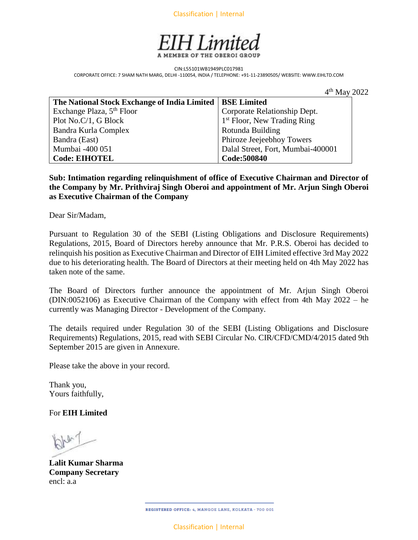Classification | Internal



CIN:L55101WB1949PLC017981 CORPORATE OFFICE: 7 SHAM NATH MARG, DELHI -110054, INDIA / TELEPHONE: +91-11-23890505/ WEBSITE: WWW.EIHLTD.COM

|                                                            | $4th$ May 2022                          |
|------------------------------------------------------------|-----------------------------------------|
| The National Stock Exchange of India Limited   BSE Limited |                                         |
| Exchange Plaza, 5 <sup>th</sup> Floor                      | Corporate Relationship Dept.            |
| Plot No.C/1, G Block                                       | 1 <sup>st</sup> Floor, New Trading Ring |
| Bandra Kurla Complex                                       | Rotunda Building                        |
| Bandra (East)                                              | Phiroze Jeejeebhoy Towers               |
| Mumbai -400 051                                            | Dalal Street, Fort, Mumbai-400001       |
| <b>Code: EIHOTEL</b>                                       | Code: 500840                            |

**Sub: Intimation regarding relinquishment of office of Executive Chairman and Director of the Company by Mr. Prithviraj Singh Oberoi and appointment of Mr. Arjun Singh Oberoi as Executive Chairman of the Company**

Dear Sir/Madam,

Pursuant to Regulation 30 of the SEBI (Listing Obligations and Disclosure Requirements) Regulations, 2015, Board of Directors hereby announce that Mr. P.R.S. Oberoi has decided to relinquish his position as Executive Chairman and Director of EIH Limited effective 3rd May 2022 due to his deteriorating health. The Board of Directors at their meeting held on 4th May 2022 has taken note of the same.

The Board of Directors further announce the appointment of Mr. Arjun Singh Oberoi (DIN:0052106) as Executive Chairman of the Company with effect from 4th May 2022 – he currently was Managing Director - Development of the Company.

The details required under Regulation 30 of the SEBI (Listing Obligations and Disclosure Requirements) Regulations, 2015, read with SEBI Circular No. CIR/CFD/CMD/4/2015 dated 9th September 2015 are given in Annexure.

Please take the above in your record.

Thank you, Yours faithfully,

For **EIH Limited**

**Lalit Kumar Sharma Company Secretary** encl: a.a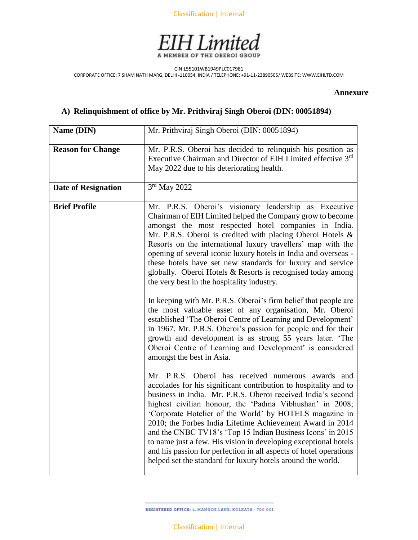



CIN:L55101WB1949PLC017981 CORPORATE OFFICE: 7 SHAM NATH MARG, DELHI -110054, INDIA / TELEPHONE: +91-11-23890505/ WEBSITE: WWW.EIHLTD.COM

## **Annexure**

## **A) Relinquishment of office by Mr. Prithviraj Singh Oberoi (DIN: 00051894)**

| Name (DIN)                 | Mr. Prithviraj Singh Oberoi (DIN: 00051894)                                                                                                                                                                                                                                                                                                                                                                                                                                                                                                                                                                                                                                                                                                                                                                                                                                                                                                                                                                                                                                                                                                                                                                                                                                                                                                                                                                                                                                                                                                                                                                                 |
|----------------------------|-----------------------------------------------------------------------------------------------------------------------------------------------------------------------------------------------------------------------------------------------------------------------------------------------------------------------------------------------------------------------------------------------------------------------------------------------------------------------------------------------------------------------------------------------------------------------------------------------------------------------------------------------------------------------------------------------------------------------------------------------------------------------------------------------------------------------------------------------------------------------------------------------------------------------------------------------------------------------------------------------------------------------------------------------------------------------------------------------------------------------------------------------------------------------------------------------------------------------------------------------------------------------------------------------------------------------------------------------------------------------------------------------------------------------------------------------------------------------------------------------------------------------------------------------------------------------------------------------------------------------------|
| <b>Reason for Change</b>   | Mr. P.R.S. Oberoi has decided to relinquish his position as<br>Executive Chairman and Director of EIH Limited effective 3rd<br>May 2022 due to his deteriorating health.                                                                                                                                                                                                                                                                                                                                                                                                                                                                                                                                                                                                                                                                                                                                                                                                                                                                                                                                                                                                                                                                                                                                                                                                                                                                                                                                                                                                                                                    |
| <b>Date of Resignation</b> | 3rd May 2022                                                                                                                                                                                                                                                                                                                                                                                                                                                                                                                                                                                                                                                                                                                                                                                                                                                                                                                                                                                                                                                                                                                                                                                                                                                                                                                                                                                                                                                                                                                                                                                                                |
| <b>Brief Profile</b>       | Mr. P.R.S. Oberoi's visionary leadership as Executive<br>Chairman of EIH Limited helped the Company grow to become<br>amongst the most respected hotel companies in India.<br>Mr. P.R.S. Oberoi is credited with placing Oberoi Hotels &<br>Resorts on the international luxury travellers' map with the<br>opening of several iconic luxury hotels in India and overseas -<br>these hotels have set new standards for luxury and service<br>globally. Oberoi Hotels & Resorts is recognised today among<br>the very best in the hospitality industry.<br>In keeping with Mr. P.R.S. Oberoi's firm belief that people are<br>the most valuable asset of any organisation, Mr. Oberoi<br>established 'The Oberoi Centre of Learning and Development'<br>in 1967. Mr. P.R.S. Oberoi's passion for people and for their<br>growth and development is as strong 55 years later. 'The<br>Oberoi Centre of Learning and Development' is considered<br>amongst the best in Asia.<br>Mr. P.R.S. Oberoi has received numerous awards and<br>accolades for his significant contribution to hospitality and to<br>business in India. Mr. P.R.S. Oberoi received India's second<br>highest civilian honour, the 'Padma Vibhushan' in 2008;<br>'Corporate Hotelier of the World' by HOTELS magazine in<br>2010; the Forbes India Lifetime Achievement Award in 2014<br>and the CNBC TV18's 'Top 15 Indian Business Icons' in 2015<br>to name just a few. His vision in developing exceptional hotels<br>and his passion for perfection in all aspects of hotel operations<br>helped set the standard for luxury hotels around the world. |